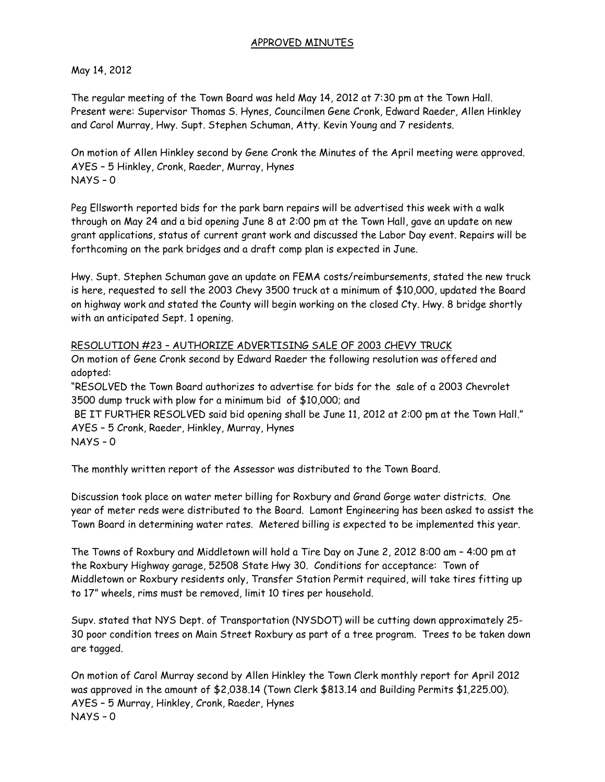## APPROVED MINUTES

## May 14, 2012

The regular meeting of the Town Board was held May 14, 2012 at 7:30 pm at the Town Hall. Present were: Supervisor Thomas S. Hynes, Councilmen Gene Cronk, Edward Raeder, Allen Hinkley and Carol Murray, Hwy. Supt. Stephen Schuman, Atty. Kevin Young and 7 residents.

On motion of Allen Hinkley second by Gene Cronk the Minutes of the April meeting were approved. AYES – 5 Hinkley, Cronk, Raeder, Murray, Hynes NAYS – 0

Peg Ellsworth reported bids for the park barn repairs will be advertised this week with a walk through on May 24 and a bid opening June 8 at 2:00 pm at the Town Hall, gave an update on new grant applications, status of current grant work and discussed the Labor Day event. Repairs will be forthcoming on the park bridges and a draft comp plan is expected in June.

Hwy. Supt. Stephen Schuman gave an update on FEMA costs/reimbursements, stated the new truck is here, requested to sell the 2003 Chevy 3500 truck at a minimum of \$10,000, updated the Board on highway work and stated the County will begin working on the closed Cty. Hwy. 8 bridge shortly with an anticipated Sept. 1 opening.

## RESOLUTION #23 – AUTHORIZE ADVERTISING SALE OF 2003 CHEVY TRUCK

On motion of Gene Cronk second by Edward Raeder the following resolution was offered and adopted:

"RESOLVED the Town Board authorizes to advertise for bids for the sale of a 2003 Chevrolet 3500 dump truck with plow for a minimum bid of \$10,000; and

BE IT FURTHER RESOLVED said bid opening shall be June 11, 2012 at 2:00 pm at the Town Hall." AYES – 5 Cronk, Raeder, Hinkley, Murray, Hynes NAYS – 0

The monthly written report of the Assessor was distributed to the Town Board.

Discussion took place on water meter billing for Roxbury and Grand Gorge water districts. One year of meter reds were distributed to the Board. Lamont Engineering has been asked to assist the Town Board in determining water rates. Metered billing is expected to be implemented this year.

The Towns of Roxbury and Middletown will hold a Tire Day on June 2, 2012 8:00 am – 4:00 pm at the Roxbury Highway garage, 52508 State Hwy 30. Conditions for acceptance: Town of Middletown or Roxbury residents only, Transfer Station Permit required, will take tires fitting up to 17" wheels, rims must be removed, limit 10 tires per household.

Supv. stated that NYS Dept. of Transportation (NYSDOT) will be cutting down approximately 25- 30 poor condition trees on Main Street Roxbury as part of a tree program. Trees to be taken down are tagged.

On motion of Carol Murray second by Allen Hinkley the Town Clerk monthly report for April 2012 was approved in the amount of \$2,038.14 (Town Clerk \$813.14 and Building Permits \$1,225.00). AYES – 5 Murray, Hinkley, Cronk, Raeder, Hynes NAYS – 0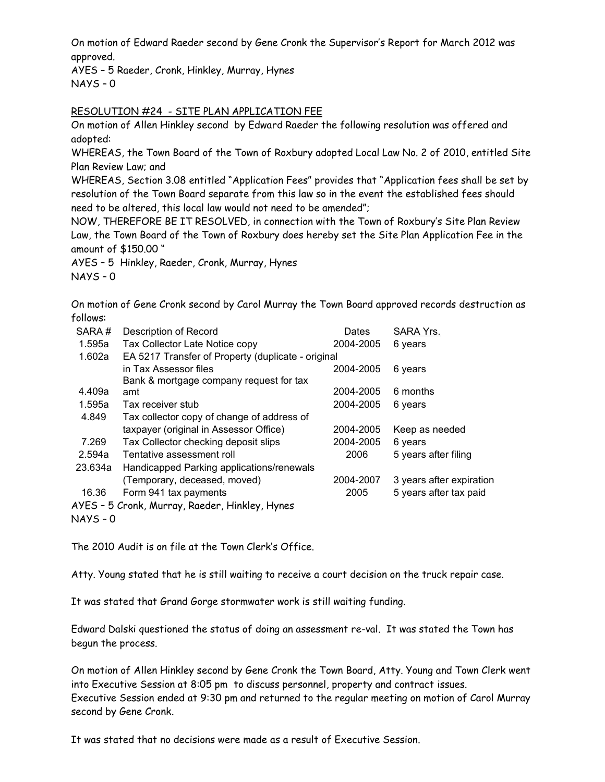On motion of Edward Raeder second by Gene Cronk the Supervisor's Report for March 2012 was approved.

AYES – 5 Raeder, Cronk, Hinkley, Murray, Hynes  $NAYS - 0$ 

## RESOLUTION #24 - SITE PLAN APPLICATION FEE

On motion of Allen Hinkley second by Edward Raeder the following resolution was offered and adopted:

WHEREAS, the Town Board of the Town of Roxbury adopted Local Law No. 2 of 2010, entitled Site Plan Review Law; and

WHEREAS, Section 3.08 entitled "Application Fees" provides that "Application fees shall be set by resolution of the Town Board separate from this law so in the event the established fees should need to be altered, this local law would not need to be amended";

NOW, THEREFORE BE IT RESOLVED, in connection with the Town of Roxbury's Site Plan Review Law, the Town Board of the Town of Roxbury does hereby set the Site Plan Application Fee in the amount of \$150.00 "

AYES – 5 Hinkley, Raeder, Cronk, Murray, Hynes

NAYS – 0

On motion of Gene Cronk second by Carol Murray the Town Board approved records destruction as follows:

| SARA#                                          | <b>Description of Record</b>                       | Dates     | SARA Yrs.                |  |  |
|------------------------------------------------|----------------------------------------------------|-----------|--------------------------|--|--|
| 1.595a                                         | Tax Collector Late Notice copy                     | 2004-2005 | 6 years                  |  |  |
| 1.602a                                         | EA 5217 Transfer of Property (duplicate - original |           |                          |  |  |
|                                                | in Tax Assessor files                              | 2004-2005 | 6 years                  |  |  |
|                                                | Bank & mortgage company request for tax            |           |                          |  |  |
| 4.409a                                         | amt                                                | 2004-2005 | 6 months                 |  |  |
| 1.595a                                         | Tax receiver stub                                  | 2004-2005 | 6 years                  |  |  |
| 4.849                                          | Tax collector copy of change of address of         |           |                          |  |  |
|                                                | taxpayer (original in Assessor Office)             | 2004-2005 | Keep as needed           |  |  |
| 7.269                                          | Tax Collector checking deposit slips               | 2004-2005 | 6 years                  |  |  |
| 2.594a                                         | Tentative assessment roll                          | 2006      | 5 years after filing     |  |  |
| 23.634a                                        | Handicapped Parking applications/renewals          |           |                          |  |  |
|                                                | (Temporary, deceased, moved)                       | 2004-2007 | 3 years after expiration |  |  |
| 16.36                                          | Form 941 tax payments                              | 2005      | 5 years after tax paid   |  |  |
| AYES - 5 Cronk, Murray, Raeder, Hinkley, Hynes |                                                    |           |                          |  |  |

 $NAYS - 0$ 

The 2010 Audit is on file at the Town Clerk's Office.

Atty. Young stated that he is still waiting to receive a court decision on the truck repair case.

It was stated that Grand Gorge stormwater work is still waiting funding.

Edward Dalski questioned the status of doing an assessment re-val. It was stated the Town has begun the process.

On motion of Allen Hinkley second by Gene Cronk the Town Board, Atty. Young and Town Clerk went into Executive Session at 8:05 pm to discuss personnel, property and contract issues. Executive Session ended at 9:30 pm and returned to the regular meeting on motion of Carol Murray second by Gene Cronk.

It was stated that no decisions were made as a result of Executive Session.